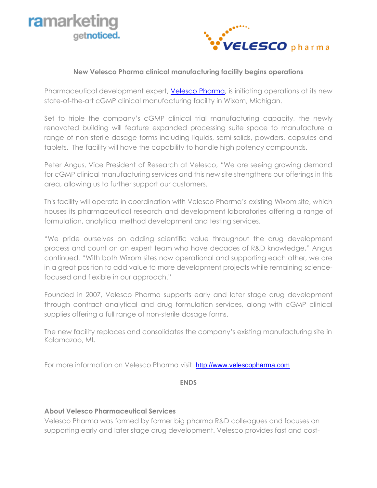



## **New Velesco Pharma clinical manufacturing facility begins operations**

Pharmaceutical development expert, [Velesco Pharma,](http://www.velescopharma.com/) is initiating operations at its new state-of-the-art cGMP clinical manufacturing facility in Wixom, Michigan.

Set to triple the company's cGMP clinical trial manufacturing capacity, the newly renovated building will feature expanded processing suite space to manufacture a range of non-sterile dosage forms including liquids, semi-solids, powders, capsules and tablets. The facility will have the capability to handle high potency compounds.

Peter Angus, Vice President of Research at Velesco, "We are seeing growing demand for cGMP clinical manufacturing services and this new site strengthens our offerings in this area, allowing us to further support our customers.

This facility will operate in coordination with Velesco Pharma's existing Wixom site, which houses its pharmaceutical research and development laboratories offering a range of formulation, analytical method development and testing services.

"We pride ourselves on adding scientific value throughout the drug development process and count on an expert team who have decades of R&D knowledge," Angus continued. "With both Wixom sites now operational and supporting each other, we are in a great position to add value to more development projects while remaining sciencefocused and flexible in our approach."

Founded in 2007, Velesco Pharma supports early and later stage drug development through contract analytical and drug formulation services, along with cGMP clinical supplies offering a full range of non-sterile dosage forms.

The new facility replaces and consolidates the company's existing manufacturing site in Kalamazoo, MI**.**

For more information on Velesco Pharma visit [http://www.velescopharma.com](http://www.velescopharma.com/)

**ENDS**

## **About Velesco Pharmaceutical Services**

Velesco Pharma was formed by former big pharma R&D colleagues and focuses on supporting early and later stage drug development. Velesco provides fast and cost-